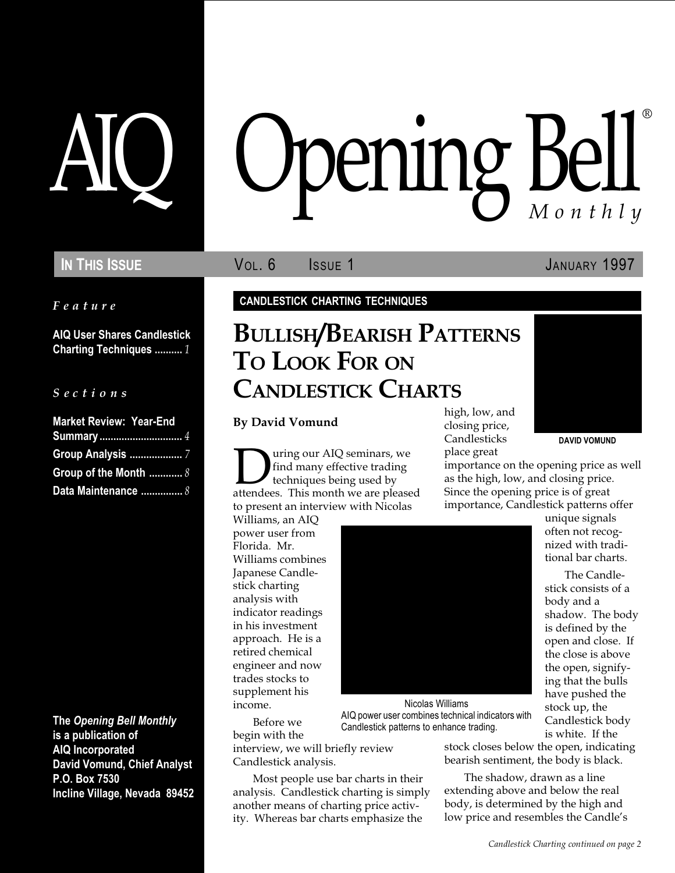Feature

AIQ User Shares Candlestick Charting Techniques .......... 1

### S e c t i o n s

| <b>Market Review: Year-End</b> |  |
|--------------------------------|--|
| <b>Summary</b> 4               |  |
|                                |  |
| Group of the Month  8          |  |
| Data Maintenance  8            |  |

The Opening Bell Monthly is a publication of AIQ Incorporated David Vomund, Chief Analyst P.O. Box 7530 Incline Village, Nevada 89452

# pening Bell ®

IN THIS ISSUE **VOL. 6** ISSUE 1 JANUARY 1997

CANDLESTICK CHARTING TECHNIQUES

# BULLISH/BEARISH PATTERNS TO LOOK FOR ON CANDLESTICK CHARTS

By David Vomund

**During our AIQ seminars, we**<br>find many effective trading<br>techniques being used by<br>attendees. This month we are pleased find many effective trading techniques being used by to present an interview with Nicolas

Williams, an AIQ power user from Florida. Mr. Williams combines Japanese Candlestick charting analysis with indicator readings in his investment approach. He is a retired chemical engineer and now trades stocks to supplement his income.

Before we begin with the interview, we will briefly review Candlestick analysis.

Most people use bar charts in their analysis. Candlestick charting is simply another means of charting price activity. Whereas bar charts emphasize the

high, low, and closing price, Candlesticks place great

DAVID VOMUND

importance on the opening price as well as the high, low, and closing price. Since the opening price is of great importance, Candlestick patterns offer

> unique signals often not recognized with traditional bar charts.

The Candlestick consists of a body and a shadow. The body is defined by the open and close. If the close is above the open, signifying that the bulls have pushed the stock up, the Candlestick body is white. If the

Nicolas Williams AIQ power user combines technical indicators with Candlestick patterns to enhance trading.

stock closes below the open, indicating bearish sentiment, the body is black.

> The shadow, drawn as a line extending above and below the real body, is determined by the high and low price and resembles the Candle's

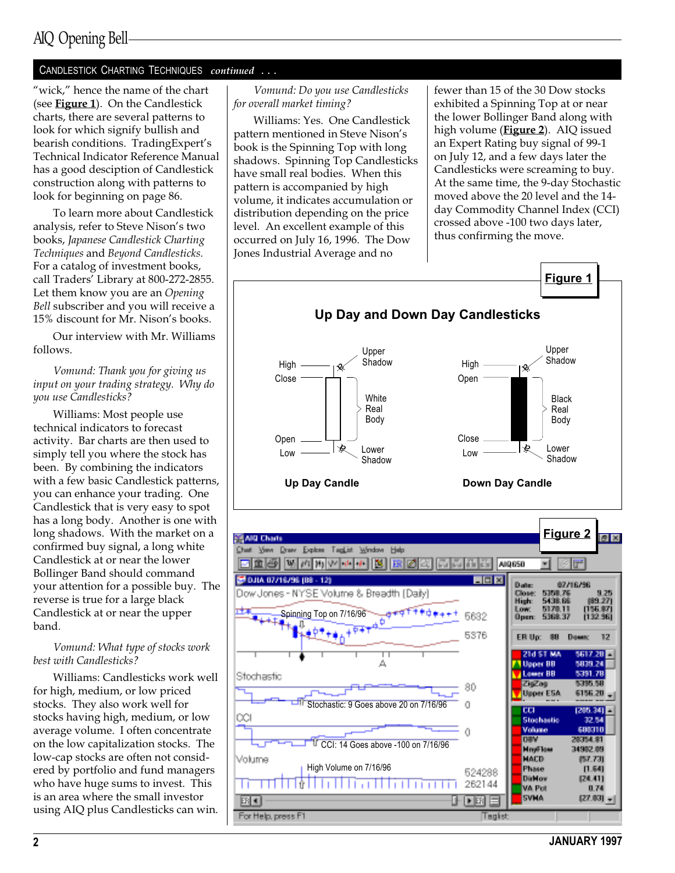## AIQ Opening Bell

### CANDLESTICK CHARTING TECHNIQUES continued ...

"wick," hence the name of the chart (see **Figure 1**). On the Candlestick charts, there are several patterns to look for which signify bullish and bearish conditions. TradingExpert's Technical Indicator Reference Manual has a good desciption of Candlestick construction along with patterns to look for beginning on page 86.

To learn more about Candlestick analysis, refer to Steve Nison's two books, Japanese Candlestick Charting Techniques and Beyond Candlesticks. For a catalog of investment books, call Traders' Library at 800-272-2855. Let them know you are an Opening Bell subscriber and you will receive a 15% discount for Mr. Nison's books.

Our interview with Mr. Williams follows.

Vomund: Thank you for giving us input on your trading strategy. Why do you use Candlesticks?

Williams: Most people use technical indicators to forecast activity. Bar charts are then used to simply tell you where the stock has been. By combining the indicators with a few basic Candlestick patterns, you can enhance your trading. One Candlestick that is very easy to spot has a long body. Another is one with long shadows. With the market on a confirmed buy signal, a long white Candlestick at or near the lower Bollinger Band should command your attention for a possible buy. The reverse is true for a large black Candlestick at or near the upper band.

### Vomund: What type of stocks work best with Candlesticks?

Williams: Candlesticks work well for high, medium, or low priced stocks. They also work well for stocks having high, medium, or low average volume. I often concentrate on the low capitalization stocks. The low-cap stocks are often not considered by portfolio and fund managers who have huge sums to invest. This is an area where the small investor using AIQ plus Candlesticks can win.

Vomund: Do you use Candlesticks for overall market timing?

Williams: Yes. One Candlestick pattern mentioned in Steve Nison's book is the Spinning Top with long shadows. Spinning Top Candlesticks have small real bodies. When this pattern is accompanied by high volume, it indicates accumulation or distribution depending on the price level. An excellent example of this occurred on July 16, 1996. The Dow Jones Industrial Average and no

fewer than 15 of the 30 Dow stocks exhibited a Spinning Top at or near the lower Bollinger Band along with high volume (**Figure 2**). AIQ issued an Expert Rating buy signal of 99-1 on July 12, and a few days later the Candlesticks were screaming to buy. At the same time, the 9-day Stochastic moved above the 20 level and the 14 day Commodity Channel Index (CCI) crossed above -100 two days later, thus confirming the move.

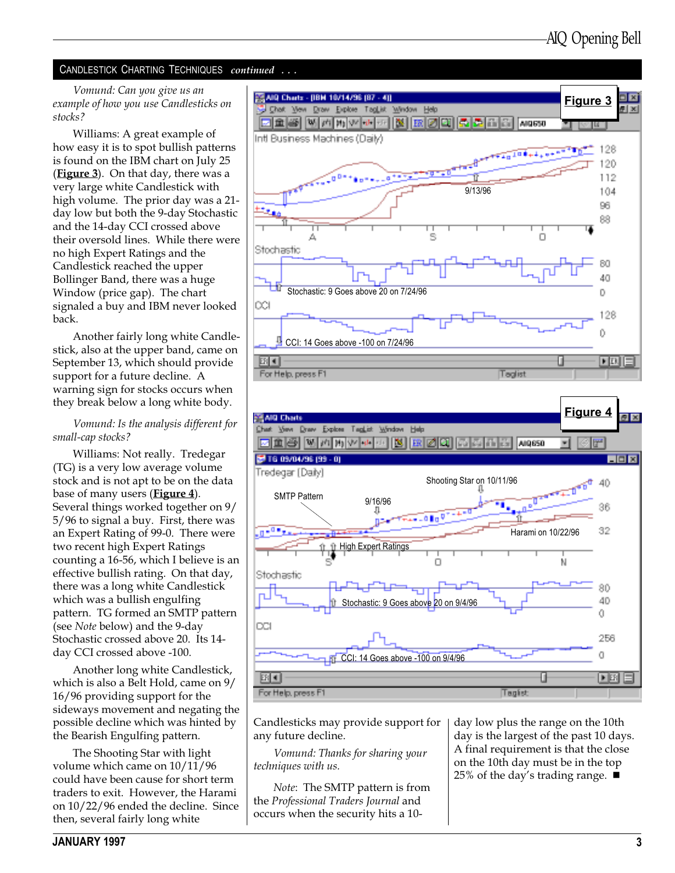### CANDLESTICK CHARTING TECHNIQUES continued . . .

Vomund: Can you give us an example of how you use Candlesticks on stocks?

Williams: A great example of how easy it is to spot bullish patterns is found on the IBM chart on July 25 (Figure 3). On that day, there was a very large white Candlestick with high volume. The prior day was a 21 day low but both the 9-day Stochastic and the 14-day CCI crossed above their oversold lines. While there were no high Expert Ratings and the Candlestick reached the upper Bollinger Band, there was a huge Window (price gap). The chart signaled a buy and IBM never looked back.

Another fairly long white Candlestick, also at the upper band, came on September 13, which should provide support for a future decline. A warning sign for stocks occurs when they break below a long white body.

Vomund: Is the analysis different for small-cap stocks?

Williams: Not really. Tredegar (TG) is a very low average volume stock and is not apt to be on the data base of many users (**Figure 4**). Several things worked together on 9/ 5/96 to signal a buy. First, there was an Expert Rating of 99-0. There were two recent high Expert Ratings counting a 16-56, which I believe is an effective bullish rating. On that day, there was a long white Candlestick which was a bullish engulfing pattern. TG formed an SMTP pattern (see Note below) and the 9-day Stochastic crossed above 20. Its 14 day CCI crossed above -100.

Another long white Candlestick, which is also a Belt Hold, came on 9/ 16/96 providing support for the sideways movement and negating the possible decline which was hinted by the Bearish Engulfing pattern.

The Shooting Star with light volume which came on 10/11/96 could have been cause for short term traders to exit. However, the Harami on 10/22/96 ended the decline. Since then, several fairly long white





Candlesticks may provide support for any future decline.

Vomund: Thanks for sharing your techniques with us.

Note: The SMTP pattern is from the Professional Traders Journal and occurs when the security hits a 10day low plus the range on the 10th day is the largest of the past 10 days. A final requirement is that the close on the 10th day must be in the top 25% of the day's trading range.  $\blacksquare$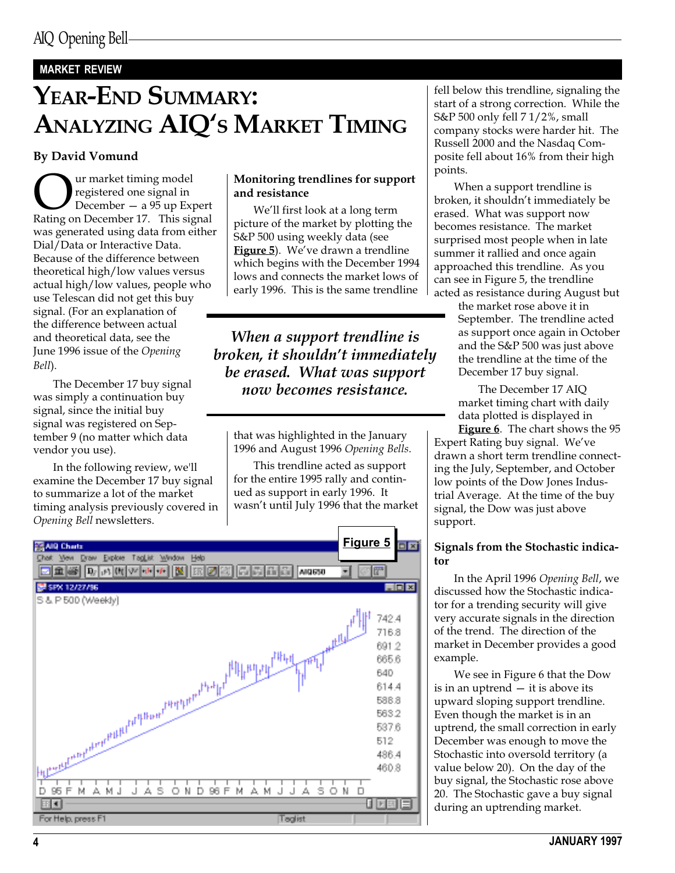### MARKET REVIEW

# YEAR-END SUMMARY: ANALYZING AIQ'S MARKET TIMING

### By David Vomund

Ur market timing model<br>
pegistered one signal in<br>
Rating on December 17. This signal registered one signal in December  $-$  a 95 up Expert was generated using data from either Dial/Data or Interactive Data. Because of the difference between theoretical high/low values versus actual high/low values, people who use Telescan did not get this buy signal. (For an explanation of the difference between actual and theoretical data, see the June 1996 issue of the Opening Bell).

The December 17 buy signal was simply a continuation buy signal, since the initial buy signal was registered on September 9 (no matter which data vendor you use).

In the following review, we'll examine the December 17 buy signal to summarize a lot of the market timing analysis previously covered in Opening Bell newsletters.

### Monitoring trendlines for support and resistance

We'll first look at a long term picture of the market by plotting the S&P 500 using weekly data (see Figure 5). We've drawn a trendline which begins with the December 1994 lows and connects the market lows of early 1996. This is the same trendline

When a support trendline is broken, it shouldn't immediately be erased. What was support now becomes resistance.

that was highlighted in the January 1996 and August 1996 Opening Bells.

This trendline acted as support for the entire 1995 rally and continued as support in early 1996. It wasn't until July 1996 that the market



fell below this trendline, signaling the start of a strong correction. While the S&P 500 only fell 7 1/2%, small company stocks were harder hit. The Russell 2000 and the Nasdaq Composite fell about 16% from their high points.

When a support trendline is broken, it shouldn't immediately be erased. What was support now becomes resistance. The market surprised most people when in late summer it rallied and once again approached this trendline. As you can see in Figure 5, the trendline acted as resistance during August but

the market rose above it in September. The trendline acted as support once again in October and the S&P 500 was just above the trendline at the time of the December 17 buy signal.

The December 17 AIQ market timing chart with daily data plotted is displayed in

**Figure 6.** The chart shows the 95 Expert Rating buy signal. We've drawn a short term trendline connecting the July, September, and October low points of the Dow Jones Industrial Average. At the time of the buy signal, the Dow was just above support.

### Signals from the Stochastic indicator

In the April 1996 Opening Bell, we discussed how the Stochastic indicator for a trending security will give very accurate signals in the direction of the trend. The direction of the market in December provides a good example.

We see in Figure 6 that the Dow is in an uptrend  $-$  it is above its upward sloping support trendline. Even though the market is in an uptrend, the small correction in early December was enough to move the Stochastic into oversold territory (a value below 20). On the day of the buy signal, the Stochastic rose above 20. The Stochastic gave a buy signal during an uptrending market.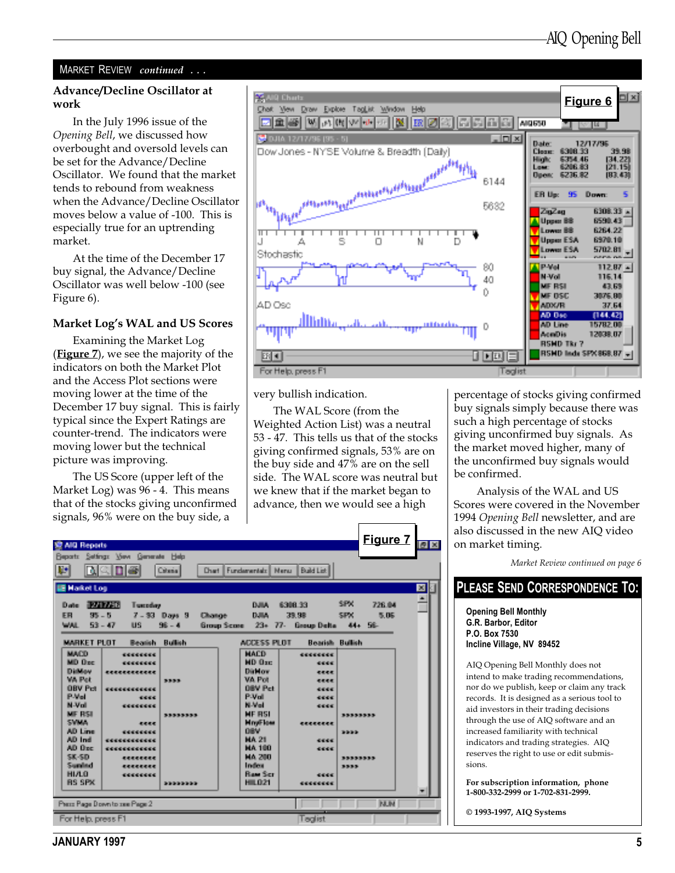### MARKET REVIEW continued ...

# work

In the July 1996 issue of the Opening Bell, we discussed how overbought and oversold levels can be set for the Advance/Decline Oscillator. We found that the market tends to rebound from weakness when the Advance/Decline Oscillator moves below a value of -100. This is especially true for an uptrending market.

At the time of the December 17 buy signal, the Advance/Decline Oscillator was well below -100 (see Figure 6).

### Market Log's WAL and US Scores

Examining the Market Log (**Figure** 7), we see the majority of the indicators on both the Market Plot and the Access Plot sections were moving lower at the time of the December 17 buy signal. This is fairly typical since the Expert Ratings are counter-trend. The indicators were moving lower but the technical picture was improving.

The US Score (upper left of the Market Log) was 96 - 4. This means that of the stocks giving unconfirmed signals, 96% were on the buy side, a



very bullish indication.

The WAL Score (from the Weighted Action List) was a neutral 53 - 47. This tells us that of the stocks giving confirmed signals, 53% are on the buy side and 47% are on the sell side. The WAL score was neutral but we knew that if the market began to advance, then we would see a high

| 爱 AND Reports<br>Reports Settings Vew Generate Help<br><b>IP</b><br>NCDE                                                   | Criteria                                              | <b>Chart Europeandale Marsis</b>                                                    | Build List                                                       | <u>Figure 7 Fis</u>                      |                      |
|----------------------------------------------------------------------------------------------------------------------------|-------------------------------------------------------|-------------------------------------------------------------------------------------|------------------------------------------------------------------|------------------------------------------|----------------------|
| <b>IE Hakel Los</b><br><b>TANK R</b><br>Date:<br>FB<br><b>SB = 6</b><br>WAL.<br>$53 - 47$<br>US.                           | Tuesday<br>7 - 33 Days 3<br><b>Chonge</b><br>$98 - 4$ | DUM:<br>D.MA<br>Group Score $23 - 77$ .                                             | 6308 33<br>39.98                                                 | SPK.<br>726.04<br>SPx.<br>图印刷<br>44+ 56- | $ \mathbf{x} $<br>ă. |
| MARKET PLOT<br><b>MACD</b><br>********<br>MD Ope.<br>********                                                              | <b>Bullish</b><br><b>Bernier</b>                      | <b>ADDESS ELITE</b><br><b>HACD</b><br><b>MD</b> Oxe                                 | <b>Beaue Delta</b><br><b>Boarish Bullish</b><br>00000000<br>4846 |                                          |                      |
| <b>Diffuse</b><br>经船舶的船舶 医肠腔切除术<br>wa Pet<br><b>OBV Pct</b><br>------------<br>(Publica)<br>M-37-41<br>********            | 309-909<br>1001010                                    | Dirtsi over<br>V.O. Phil<br><b>DEM Barr</b><br>PAGE<br><b>BLAN-1</b>                | 4848<br><b>Warrantee</b><br>44,440<br>0000<br>4444               |                                          |                      |
| <b>ME RIGHT</b><br>SWMA.<br>40 Line<br><b>CODODOOO</b><br>AD Indi<br>***********<br>AD One:<br>***********<br><b>SE-SD</b> | 349-349-349-349-<br>and and                           | <b>ME RSI</b><br><b>Movifices</b><br>自動學<br>MA 21<br><b>HA 100</b><br><b>MA 200</b> | 1000000000<br>6868<br>44.44                                      | 2012/08/20 08:00:00<br>360000            |                      |
| 404444444<br>Seminal<br>404444444<br><b>HIAO</b><br>00000000<br><b>BS SPX</b>                                              | 3093093030                                            | Indian<br>Rew Scr<br>HL021                                                          | 0000<br>********                                                 | 20202202<br>2012-01                      | œ.                   |
| Peter Rege Down to can Peter 2<br>For Help, press F1                                                                       |                                                       |                                                                                     | Tealist                                                          | <b>NUM</b>                               |                      |

percentage of stocks giving confirmed buy signals simply because there was such a high percentage of stocks giving unconfirmed buy signals. As the market moved higher, many of the unconfirmed buy signals would be confirmed.

 Analysis of the WAL and US Scores were covered in the November 1994 Opening Bell newsletter, and are also discussed in the new AIQ video on market timing.

Market Review continued on page 6

### PLEASE SEND CORRESPONDENCE TO:

Opening Bell Monthly G.R. Barbor, Editor P.O. Box 7530 Incline Village, NV 89452

AIQ Opening Bell Monthly does not intend to make trading recommendations, nor do we publish, keep or claim any track records. It is designed as a serious tool to aid investors in their trading decisions through the use of AIQ software and an increased familiarity with technical indicators and trading strategies. AIQ reserves the right to use or edit submissions.

For subscription information, phone 1-800-332-2999 or 1-702-831-2999.

© 1993-1997, AIQ Systems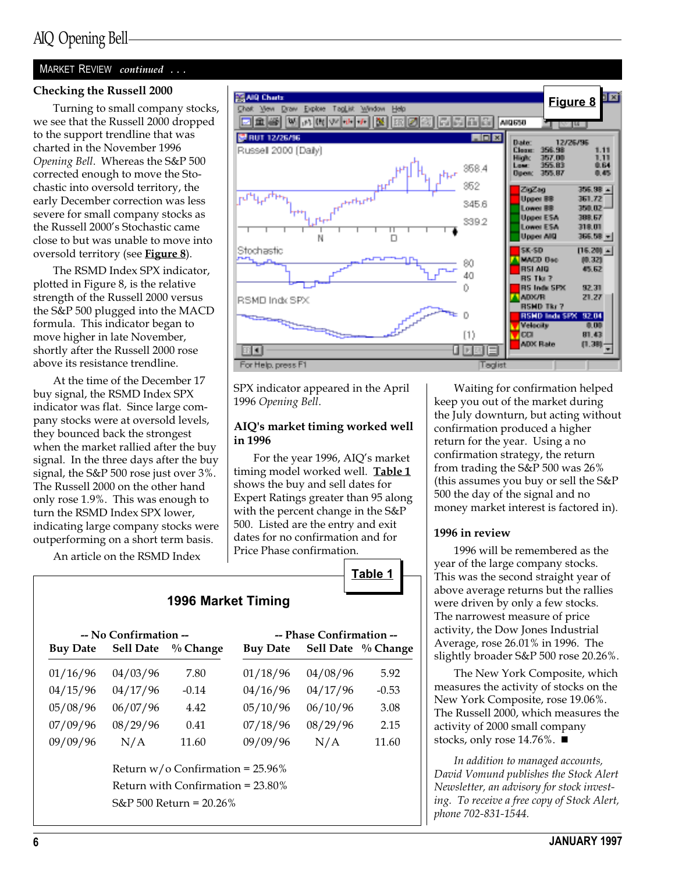### MARKET REVIEW continued ...

### Checking the Russell 2000

Turning to small company stocks, we see that the Russell 2000 dropped to the support trendline that was charted in the November 1996 Opening Bell. Whereas the S&P 500 corrected enough to move the Stochastic into oversold territory, the early December correction was less severe for small company stocks as the Russell 2000's Stochastic came close to but was unable to move into oversold territory (see Figure 8).

The RSMD Index SPX indicator, plotted in Figure 8, is the relative strength of the Russell 2000 versus the S&P 500 plugged into the MACD formula. This indicator began to move higher in late November, shortly after the Russell 2000 rose above its resistance trendline.

At the time of the December 17 buy signal, the RSMD Index SPX indicator was flat. Since large company stocks were at oversold levels, they bounced back the strongest when the market rallied after the buy signal. In the three days after the buy signal, the S&P 500 rose just over 3%. The Russell 2000 on the other hand only rose 1.9%. This was enough to turn the RSMD Index SPX lower, indicating large company stocks were outperforming on a short term basis.

An article on the RSMD Index

### Chok Yew Draw Explore TagList Window Help **因重要 网**内的过去分词 Ø 晶 langsan **BRUT 12/26/96** in der **Date** 12/26/98 Russel 2000 (Daily) Clean 956.98 367.00<br>355.83 推進 958.4 gang **Diamo** 2015 87 852 2020 306.38 -361 *17* Upper BB 345.6 Lower BB 300.DZ Upper ESA 398.57 339.2 Lower ESA 318.01 **Upper ARD** 366.08 <u>- </u>  $\Box$ Stochastic **SK-SD**  $[16, 20] -$ **NACD Dec** DD. 321 80 **RSI AID** 45.52 40 85 Tia 7 Ũ. RS Indu SPX ADX/R 21.27 RSMD Indx SPX **RSMD TR/ 7** D RSND lads SPX 52.04 verselly  $\left( 1\right)$ **CO** 81.43 **ADX Rate 11.3割** u d EF E For Help, press F1 Teglist

SPX indicator appeared in the April 1996 Opening Bell.

**ES AID Charls** 

### AIQ's market timing worked well in 1996

For the year 1996, AIQ's market timing model worked well. Table 1 shows the buy and sell dates for Expert Ratings greater than 95 along with the percent change in the S&P 500. Listed are the entry and exit dates for no confirmation and for Price Phase confirmation.



### 1996 Market Timing

| -- No Confirmation --                |                            |                                    | -- Phase Confirmation -- |          |                    |  |  |
|--------------------------------------|----------------------------|------------------------------------|--------------------------|----------|--------------------|--|--|
| <b>Buy Date</b>                      |                            | Sell Date % Change                 | <b>Buy Date</b>          |          | Sell Date % Change |  |  |
| 01/16/96                             | 04/03/96                   | 7.80                               | 01/18/96                 | 04/08/96 | 5.92               |  |  |
| 04/15/96                             | 04/17/96                   | $-0.14$                            | 04/16/96                 | 04/17/96 | $-0.53$            |  |  |
| 05/08/96                             | 06/07/96                   | 4.42                               | 05/10/96                 | 06/10/96 | 3.08               |  |  |
| 07/09/96                             | 08/29/96                   | 0.41                               | 07/18/96                 | 08/29/96 | 2.15               |  |  |
| 09/09/96                             | N/A                        | 11.60                              | 09/09/96                 | N/A      | 11.60              |  |  |
|                                      |                            | Return $w/o$ Confirmation = 25.96% |                          |          |                    |  |  |
| Return with Confirmation $= 23.80\%$ |                            |                                    |                          |          |                    |  |  |
|                                      | $S\&P 500$ Return = 20.26% |                                    |                          |          |                    |  |  |
|                                      |                            |                                    |                          |          |                    |  |  |

Waiting for confirmation helped keep you out of the market during the July downturn, but acting without confirmation produced a higher return for the year. Using a no confirmation strategy, the return from trading the S&P 500 was 26% (this assumes you buy or sell the S&P 500 the day of the signal and no money market interest is factored in).

Figure 8

.<br>B4

自衛

82.31

 $0.00$ 

### 1996 in review

1996 will be remembered as the year of the large company stocks. This was the second straight year of above average returns but the rallies were driven by only a few stocks. The narrowest measure of price activity, the Dow Jones Industrial Average, rose 26.01% in 1996. The slightly broader S&P 500 rose 20.26%.

The New York Composite, which measures the activity of stocks on the New York Composite, rose 19.06%. The Russell 2000, which measures the activity of 2000 small company stocks, only rose 14.76%.  $\blacksquare$ 

In addition to managed accounts, David Vomund publishes the Stock Alert Newsletter, an advisory for stock investing. To receive a free copy of Stock Alert, phone 702-831-1544.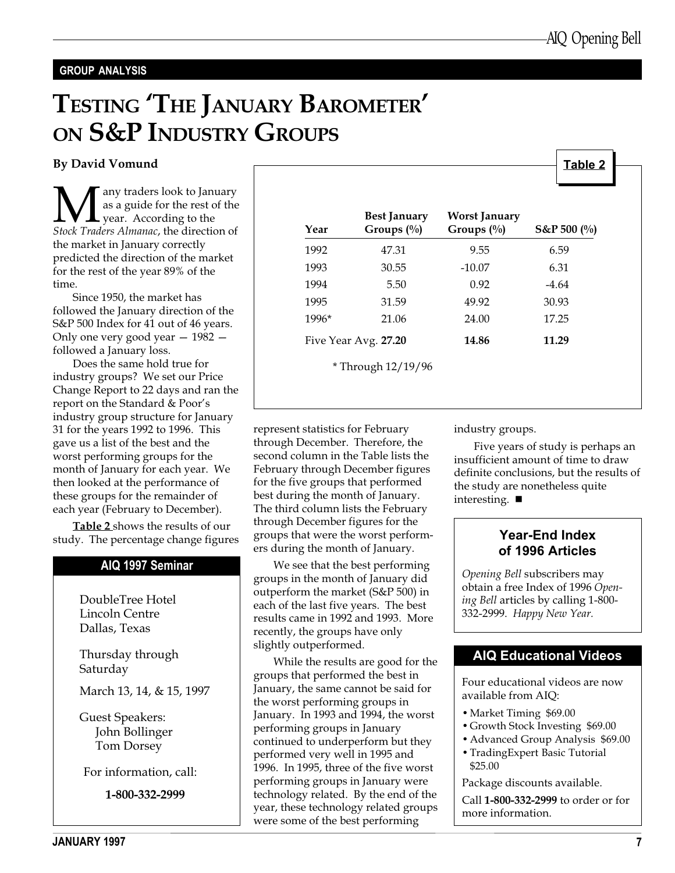Table 2

### GROUP ANALYSIS

# TESTING 'THE JANUARY BAROMETER' ON S&P INDUSTRY GROUPS

### By David Vomund

**M**any traders look to January<br>as a guide for the rest of the<br>Stock Traders Almanac, the direction of as a guide for the rest of the year. According to the the market in January correctly predicted the direction of the market for the rest of the year 89% of the time.

Since 1950, the market has followed the January direction of the S&P 500 Index for 41 out of 46 years. Only one very good year  $-1982$ followed a January loss.

Does the same hold true for industry groups? We set our Price Change Report to 22 days and ran the report on the Standard & Poor's industry group structure for January 31 for the years 1992 to 1996. This gave us a list of the best and the worst performing groups for the month of January for each year. We then looked at the performance of these groups for the remainder of each year (February to December).

Table 2 shows the results of our study. The percentage change figures

### AIQ 1997 Seminar

DoubleTree Hotel Lincoln Centre Dallas, Texas

Thursday through Saturday

March 13, 14, & 15, 1997

Guest Speakers: John Bollinger Tom Dorsey

For information, call:

1-800-332-2999

| Year  | <b>Best January</b><br>Groups $(\%)$ | <b>Worst January</b><br>Groups $(\%)$ | $S\&P 500 (%)$ |
|-------|--------------------------------------|---------------------------------------|----------------|
| 1992  | 47.31                                | 9.55                                  | 6.59           |
| 1993  | 30.55                                | $-10.07$                              | 6.31           |
| 1994  | 5.50                                 | 0.92                                  | $-4.64$        |
| 1995  | 31.59                                | 49.92                                 | 30.93          |
| 1996* | 21.06                                | 24.00                                 | 17.25          |
|       | Five Year Avg. 27.20                 | 14.86                                 | 11.29          |
|       | *Through 12/19/96                    |                                       |                |

represent statistics for February through December. Therefore, the second column in the Table lists the February through December figures for the five groups that performed best during the month of January. The third column lists the February through December figures for the groups that were the worst performers during the month of January.

We see that the best performing groups in the month of January did outperform the market (S&P 500) in each of the last five years. The best results came in 1992 and 1993. More recently, the groups have only slightly outperformed.

While the results are good for the groups that performed the best in January, the same cannot be said for the worst performing groups in January. In 1993 and 1994, the worst performing groups in January continued to underperform but they performed very well in 1995 and 1996. In 1995, three of the five worst performing groups in January were technology related. By the end of the year, these technology related groups were some of the best performing

industry groups.

Five years of study is perhaps an insufficient amount of time to draw definite conclusions, but the results of the study are nonetheless quite interesting.  $\blacksquare$ 

### Year-End Index of 1996 Articles

Opening Bell subscribers may obtain a free Index of 1996 Opening Bell articles by calling 1-800- 332-2999. Happy New Year.

### AIQ Educational Videos

Four educational videos are now available from AIQ:

- Market Timing \$69.00
- Growth Stock Investing \$69.00
- Advanced Group Analysis \$69.00
- TradingExpert Basic Tutorial \$25.00

Package discounts available.

Call 1-800-332-2999 to order or for more information.